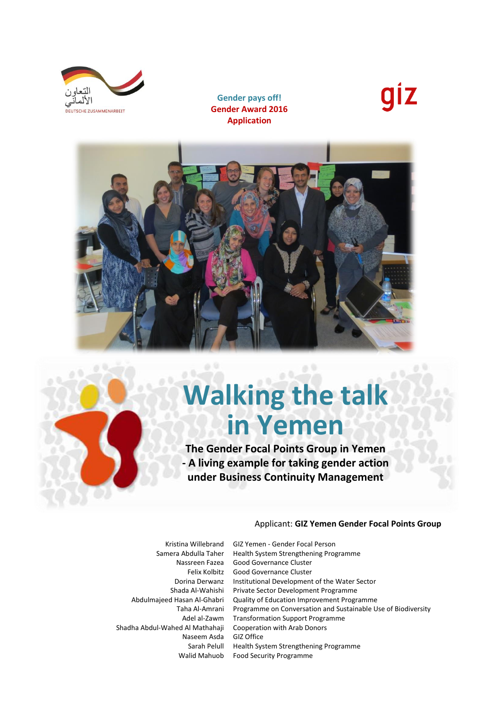

**Gender pays off! Gender Award 2016 Application**





# **Walking the talk in Yemen**

**The Gender Focal Points Group in Yemen - A living example for taking gender action under Business Continuity Management**

### Applicant: **GIZ Yemen Gender Focal Points Group**

Shadha Abdul-Wahed Al Mathahaji Cooperation with Arab Donors Naseem Asda GIZ Office

Kristina Willebrand GIZ Yemen - Gender Focal Person Samera Abdulla Taher Health System Strengthening Programme Nassreen Fazea Good Governance Cluster Felix Kolbitz Good Governance Cluster Dorina Derwanz Institutional Development of the Water Sector Shada Al-Wahishi Private Sector Development Programme Abdulmajeed Hasan Al-Ghabri Quality of Education Improvement Programme Taha Al-Amrani Programme on Conversation and Sustainable Use of Biodiversity Adel al-Zawm Transformation Support Programme Sarah Pelull Health System Strengthening Programme Walid Mahuob Food Security Programme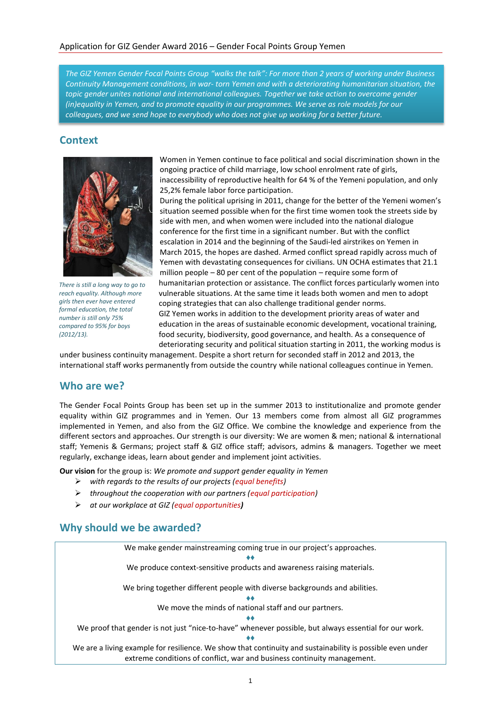*The GIZ Yemen Gender Focal Points Group "walks the talk": For more than 2 years of working under Business Continuity Management conditions, in war- torn Yemen and with a deteriorating humanitarian situation, the topic gender unites national and international colleagues. Together we take action to overcome gender (in)equality in Yemen, and to promote equality in our programmes. We serve as role models for our colleagues, and we send hope to everybody who does not give up working for a better future.* 

## **Context**



*There is still a long way to go to reach equality. Although more girls then ever have entered formal education, the total number is still only 75% compared to 95% for boys (2012/13).*

Women in Yemen continue to face political and social discrimination shown in the ongoing practice of child marriage, low school enrolment rate of girls, inaccessibility of reproductive health for 64 % of the Yemeni population, and only 25,2% female labor force participation.

During the political uprising in 2011, change for the better of the Yemeni women's situation seemed possible when for the first time women took the streets side by side with men, and when women were included into the national dialogue conference for the first time in a significant number. But with the conflict escalation in 2014 and the beginning of the Saudi-led airstrikes on Yemen in March 2015, the hopes are dashed. Armed conflict spread rapidly across much of Yemen with devastating consequences for civilians. UN OCHA estimates that 21.1 million people – 80 per cent of the population – require some form of humanitarian protection or assistance. The conflict forces particularly women into vulnerable situations. At the same time it leads both women and men to adopt coping strategies that can also challenge traditional gender norms. GIZ Yemen works in addition to the development priority areas of water and education in the areas of sustainable economic development, vocational training, food security, biodiversity, good governance, and health. As a consequence of deteriorating security and political situation starting in 2011, the working modus is

under business continuity management. Despite a short return for seconded staff in 2012 and 2013, the international staff works permanently from outside the country while national colleagues continue in Yemen.

## **Who are we?**

The Gender Focal Points Group has been set up in the summer 2013 to institutionalize and promote gender equality within GIZ programmes and in Yemen. Our 13 members come from almost all GIZ programmes implemented in Yemen, and also from the GIZ Office. We combine the knowledge and experience from the different sectors and approaches. Our strength is our diversity: We are women & men; national & international staff; Yemenis & Germans; project staff & GIZ office staff; advisors, admins & managers. Together we meet regularly, exchange ideas, learn about gender and implement joint activities.

**Our vision** for the group is: *We promote and support gender equality in Yemen* 

- *with regards to the results of our projects (equal benefits)*
- *throughout the cooperation with our partners (equal participation)*
- *at our workplace at GIZ (equal opportunities)*

## **Why should we be awarded?**

We make gender mainstreaming coming true in our project's approaches. ♦♦ We produce context-sensitive products and awareness raising materials. We bring together different people with diverse backgrounds and abilities. ♦♦ We move the minds of national staff and our partners. ♦♦ We proof that gender is not just "nice-to-have" whenever possible, but always essential for our work. ♦♦ We are a living example for resilience. We show that continuity and sustainability is possible even under extreme conditions of conflict, war and business continuity management.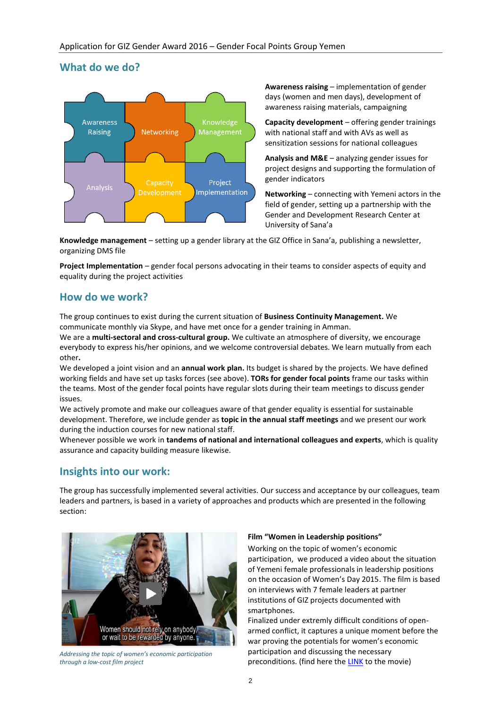## **What do we do?**



**Awareness raising** – implementation of gender days (women and men days), development of awareness raising materials, campaigning

**Capacity development** – offering gender trainings with national staff and with AVs as well as sensitization sessions for national colleagues

**Analysis and M&E** – analyzing gender issues for project designs and supporting the formulation of gender indicators

**Networking** – connecting with Yemeni actors in the field of gender, setting up a partnership with the Gender and Development Research Center at University of Sana'a

**Knowledge management** – setting up a gender library at the GIZ Office in Sana'a, publishing a newsletter, organizing DMS file

**Project Implementation** – gender focal persons advocating in their teams to consider aspects of equity and equality during the project activities

## **How do we work?**

The group continues to exist during the current situation of **Business Continuity Management.** We communicate monthly via Skype, and have met once for a gender training in Amman.

We are a **multi-sectoral and cross-cultural group.** We cultivate an atmosphere of diversity, we encourage everybody to express his/her opinions, and we welcome controversial debates. We learn mutually from each other**.** 

We developed a joint vision and an **annual work plan.** Its budget is shared by the projects. We have defined working fields and have set up tasks forces (see above). **TORs for gender focal points** frame our tasks within the teams. Most of the gender focal points have regular slots during their team meetings to discuss gender issues.

We actively promote and make our colleagues aware of that gender equality is essential for sustainable development. Therefore, we include gender as **topic in the annual staff meetings** and we present our work during the induction courses for new national staff.

Whenever possible we work in **tandems of national and international colleagues and experts**, which is quality assurance and capacity building measure likewise.

# **Insights into our work:**

The group has successfully implemented several activities. Our success and acceptance by our colleagues, team leaders and partners, is based in a variety of approaches and products which are presented in the following section:



*Addressing the topic of women's economic participation through a low-cost film project* 

### **Film "Women in Leadership positions"**

Working on the topic of women's economic participation, we produced a video about the situation of Yemeni female professionals in leadership positions on the occasion of Women's Day 2015. The film is based on interviews with 7 female leaders at partner institutions of GIZ projects documented with smartphones.

Finalized under extremly difficult conditions of openarmed conflict, it captures a unique moment before the war proving the potentials for women's economic participation and discussing the necessary preconditions. (find here the [LINK](https://vimeo.com/148480952) to the movie)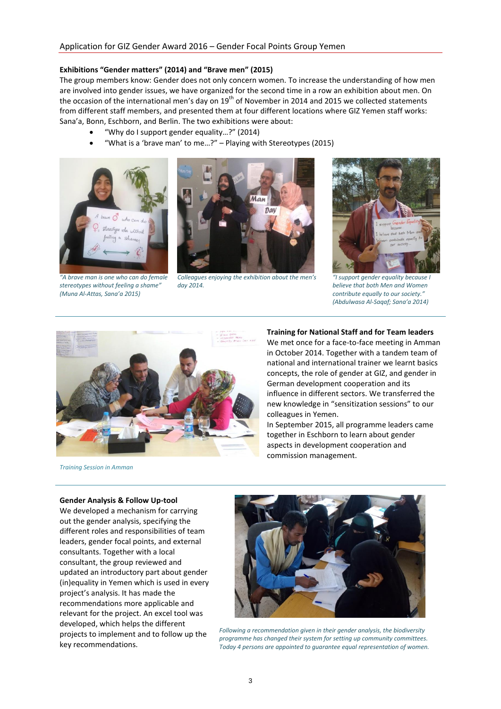### **Exhibitions "Gender matters" (2014) and "Brave men" (2015)**

The group members know: Gender does not only concern women. To increase the understanding of how men are involved into gender issues, we have organized for the second time in a row an exhibition about men. On the occasion of the international men's day on 19<sup>th</sup> of November in 2014 and 2015 we collected statements from different staff members, and presented them at four different locations where GIZ Yemen staff works: Sana'a, Bonn, Eschborn, and Berlin. The two exhibitions were about:

- "Why do I support gender equality…?" (2014)
- "What is a 'brave man' to me…?" Playing with Stereotypes (2015)



*"A brave man is one who can do female stereotypes without feeling a shame" (Muna Al-Attas, Sana'a 2015)* 



*Colleagues enjoying the exhibition about the men's day 2014.* 



*"I support gender equality because I believe that both Men and Women contribute equally to our society." (Abdulwasa Al-Saqaf; Sana'a 2014)*



*Training Session in Amman*

#### **Training for National Staff and for Team leaders**

We met once for a face-to-face meeting in Amman in October 2014. Together with a tandem team of national and international trainer we learnt basics concepts, the role of gender at GIZ, and gender in German development cooperation and its influence in different sectors. We transferred the new knowledge in "sensitization sessions" to our colleagues in Yemen.

In September 2015, all programme leaders came together in Eschborn to learn about gender aspects in development cooperation and commission management.

#### **Gender Analysis & Follow Up-tool**

We developed a mechanism for carrying out the gender analysis, specifying the different roles and responsibilities of team leaders, gender focal points, and external consultants. Together with a local consultant, the group reviewed and updated an introductory part about gender (in)equality in Yemen which is used in every project's analysis. It has made the recommendations more applicable and relevant for the project. An excel tool was developed, which helps the different projects to implement and to follow up the key recommendations.



*Following a recommendation given in their gender analysis, the biodiversity programme has changed their system for setting up community committees. Today 4 persons are appointed to guarantee equal representation of women.*